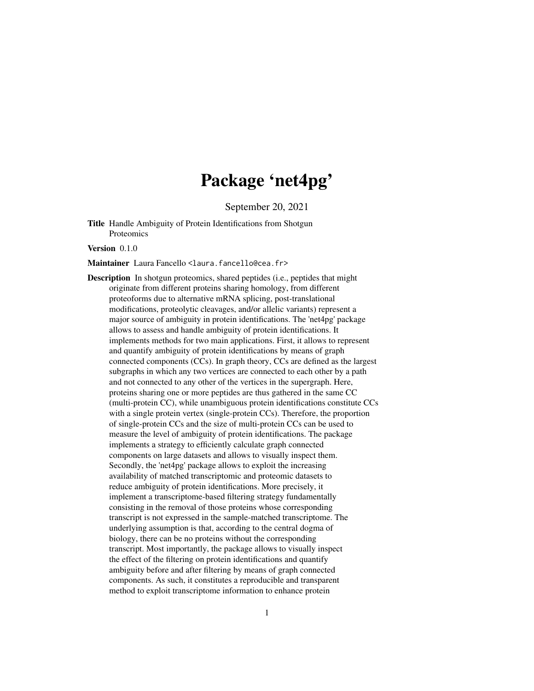# Package 'net4pg'

September 20, 2021

Title Handle Ambiguity of Protein Identifications from Shotgun Proteomics

Version 0.1.0

Maintainer Laura Fancello <laura.fancello@cea.fr>

Description In shotgun proteomics, shared peptides (i.e., peptides that might originate from different proteins sharing homology, from different proteoforms due to alternative mRNA splicing, post-translational modifications, proteolytic cleavages, and/or allelic variants) represent a major source of ambiguity in protein identifications. The 'net4pg' package allows to assess and handle ambiguity of protein identifications. It implements methods for two main applications. First, it allows to represent and quantify ambiguity of protein identifications by means of graph connected components (CCs). In graph theory, CCs are defined as the largest subgraphs in which any two vertices are connected to each other by a path and not connected to any other of the vertices in the supergraph. Here, proteins sharing one or more peptides are thus gathered in the same CC (multi-protein CC), while unambiguous protein identifications constitute CCs with a single protein vertex (single-protein CCs). Therefore, the proportion of single-protein CCs and the size of multi-protein CCs can be used to measure the level of ambiguity of protein identifications. The package implements a strategy to efficiently calculate graph connected components on large datasets and allows to visually inspect them. Secondly, the 'net4pg' package allows to exploit the increasing availability of matched transcriptomic and proteomic datasets to reduce ambiguity of protein identifications. More precisely, it implement a transcriptome-based filtering strategy fundamentally consisting in the removal of those proteins whose corresponding transcript is not expressed in the sample-matched transcriptome. The underlying assumption is that, according to the central dogma of biology, there can be no proteins without the corresponding transcript. Most importantly, the package allows to visually inspect the effect of the filtering on protein identifications and quantify ambiguity before and after filtering by means of graph connected components. As such, it constitutes a reproducible and transparent method to exploit transcriptome information to enhance protein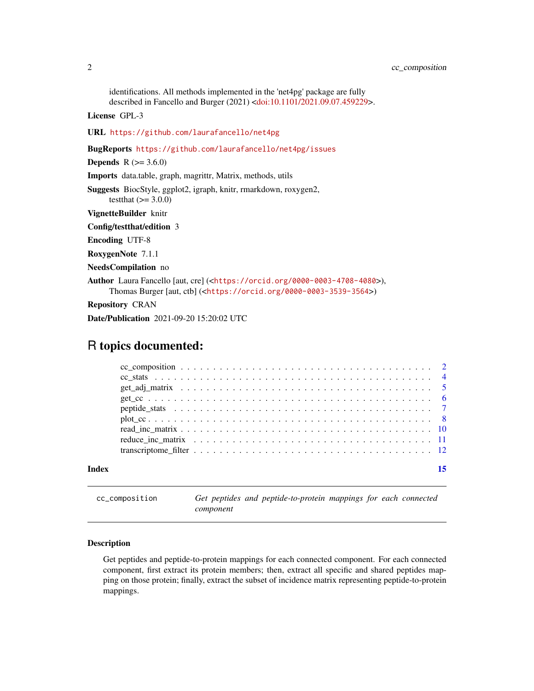<span id="page-1-0"></span>identifications. All methods implemented in the 'net4pg' package are fully described in Fancello and Burger (2021) [<doi:10.1101/2021.09.07.459229>](https://doi.org/10.1101/2021.09.07.459229).

License GPL-3

URL <https://github.com/laurafancello/net4pg>

BugReports <https://github.com/laurafancello/net4pg/issues>

**Depends**  $R$  ( $> = 3.6.0$ )

Imports data.table, graph, magrittr, Matrix, methods, utils

Suggests BiocStyle, ggplot2, igraph, knitr, rmarkdown, roxygen2,

testthat  $(>= 3.0.0)$ 

VignetteBuilder knitr

Config/testthat/edition 3

Encoding UTF-8

RoxygenNote 7.1.1

NeedsCompilation no

Author Laura Fancello [aut, cre] (<<https://orcid.org/0000-0003-4708-4080>>), Thomas Burger [aut, ctb] (<<https://orcid.org/0000-0003-3539-3564>>)

Repository CRAN

Date/Publication 2021-09-20 15:20:02 UTC

# R topics documented:

| Index |  |
|-------|--|
|       |  |
|       |  |
|       |  |
|       |  |
|       |  |
|       |  |
|       |  |
|       |  |
|       |  |

cc\_composition *Get peptides and peptide-to-protein mappings for each connected component*

#### Description

Get peptides and peptide-to-protein mappings for each connected component. For each connected component, first extract its protein members; then, extract all specific and shared peptides mapping on those protein; finally, extract the subset of incidence matrix representing peptide-to-protein mappings.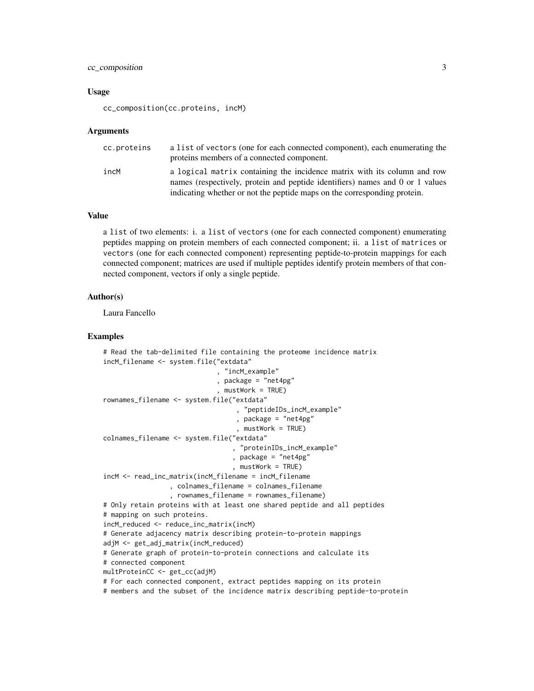# cc\_composition 3

#### Usage

cc\_composition(cc.proteins, incM)

#### Arguments

| cc.proteins | a list of vectors (one for each connected component), each enumerating the<br>proteins members of a connected component.                                                                                                              |
|-------------|---------------------------------------------------------------------------------------------------------------------------------------------------------------------------------------------------------------------------------------|
| incM        | a logical matrix containing the incidence matrix with its column and row<br>names (respectively, protein and peptide identifiers) names and 0 or 1 values<br>indicating whether or not the peptide maps on the corresponding protein. |

#### Value

a list of two elements: i. a list of vectors (one for each connected component) enumerating peptides mapping on protein members of each connected component; ii. a list of matrices or vectors (one for each connected component) representing peptide-to-protein mappings for each connected component; matrices are used if multiple peptides identify protein members of that connected component, vectors if only a single peptide.

#### Author(s)

Laura Fancello

```
# Read the tab-delimited file containing the proteome incidence matrix
incM_filename <- system.file("extdata"
                             , "incM_example"
                             , package = "net4pg"
                             , mustWork = TRUE)
rownames_filename <- system.file("extdata"
                                  , "peptideIDs_incM_example"
                                  , package = "net4pg"
                                  , mustWork = TRUE)
colnames_filename <- system.file("extdata"
                                 , "proteinIDs_incM_example"
                                 , package = "net4pg"
                                 , mustWork = TRUE)
incM <- read_inc_matrix(incM_filename = incM_filename
                 , colnames_filename = colnames_filename
                 , rownames_filename = rownames_filename)
# Only retain proteins with at least one shared peptide and all peptides
# mapping on such proteins.
incM_reduced <- reduce_inc_matrix(incM)
# Generate adjacency matrix describing protein-to-protein mappings
adjM <- get_adj_matrix(incM_reduced)
# Generate graph of protein-to-protein connections and calculate its
# connected component
multProteinCC <- get_cc(adjM)
# For each connected component, extract peptides mapping on its protein
# members and the subset of the incidence matrix describing peptide-to-protein
```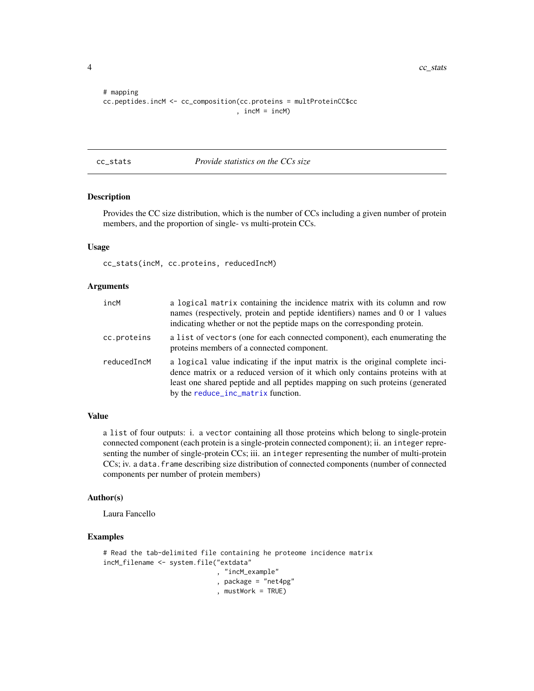<span id="page-3-0"></span>4 cc\_stats community and  $\frac{1}{2}$  cc\_stats community and  $\frac{1}{2}$  cc\_stats community and  $\frac{1}{2}$  cc\_stats

```
# mapping
cc.peptides.incM <- cc_composition(cc.proteins = multProteinCC$cc
                                  , incM = incM)
```
#### cc\_stats *Provide statistics on the CCs size*

# Description

Provides the CC size distribution, which is the number of CCs including a given number of protein members, and the proportion of single- vs multi-protein CCs.

# Usage

cc\_stats(incM, cc.proteins, reducedIncM)

#### Arguments

| incM        | a logical matrix containing the incidence matrix with its column and row<br>names (respectively, protein and peptide identifiers) names and 0 or 1 values<br>indicating whether or not the peptide maps on the corresponding protein.                                                |
|-------------|--------------------------------------------------------------------------------------------------------------------------------------------------------------------------------------------------------------------------------------------------------------------------------------|
| cc.proteins | a list of vectors (one for each connected component), each enumerating the<br>proteins members of a connected component.                                                                                                                                                             |
| reducedIncM | a logical value indicating if the input matrix is the original complete inci-<br>dence matrix or a reduced version of it which only contains proteins with at<br>least one shared peptide and all peptides mapping on such proteins (generated<br>by the reduce_inc_matrix function. |

#### Value

a list of four outputs: i. a vector containing all those proteins which belong to single-protein connected component (each protein is a single-protein connected component); ii. an integer representing the number of single-protein CCs; iii. an integer representing the number of multi-protein CCs; iv. a data.frame describing size distribution of connected components (number of connected components per number of protein members)

#### Author(s)

Laura Fancello

```
# Read the tab-delimited file containing he proteome incidence matrix
incM_filename <- system.file("extdata"
                             , "incM_example"
                             , package = "net4pg"
                             , mustWork = TRUE)
```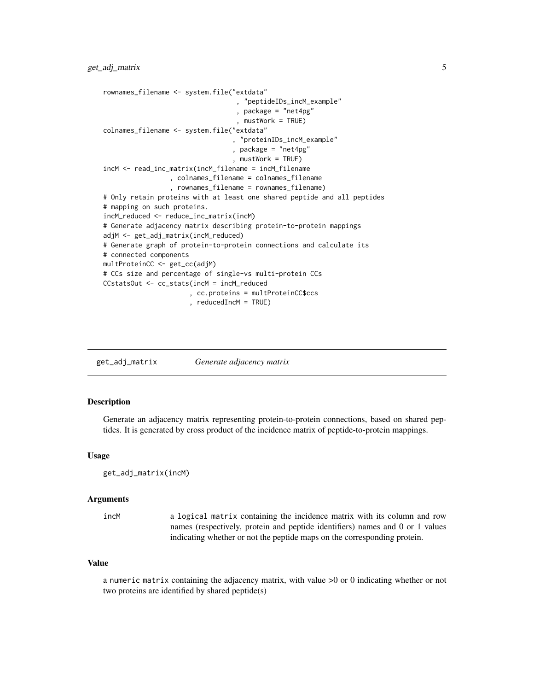```
rownames_filename <- system.file("extdata"
                                   , "peptideIDs_incM_example"
                                   , package = "net4pg"
                                   , mustWork = TRUE)
colnames_filename <- system.file("extdata"
                                 , "proteinIDs_incM_example"
                                 , package = "net4pg"
                                 , mustWork = TRUE)
incM <- read_inc_matrix(incM_filename = incM_filename
                 , colnames_filename = colnames_filename
                 , rownames_filename = rownames_filename)
# Only retain proteins with at least one shared peptide and all peptides
# mapping on such proteins.
incM_reduced <- reduce_inc_matrix(incM)
# Generate adjacency matrix describing protein-to-protein mappings
adjM <- get_adj_matrix(incM_reduced)
# Generate graph of protein-to-protein connections and calculate its
# connected components
multProteinCC <- get_cc(adjM)
# CCs size and percentage of single-vs multi-protein CCs
CCstatsOut <- cc_stats(incM = incM_reduced
                      , cc.proteins = multProteinCC$ccs
                      , reducedIncM = TRUE)
```

| get_adj_matrix | Generate adjacency matrix |  |
|----------------|---------------------------|--|
|                |                           |  |

# **Description**

Generate an adjacency matrix representing protein-to-protein connections, based on shared peptides. It is generated by cross product of the incidence matrix of peptide-to-protein mappings.

#### Usage

```
get_adj_matrix(incM)
```
#### Arguments

incM a logical matrix containing the incidence matrix with its column and row names (respectively, protein and peptide identifiers) names and 0 or 1 values indicating whether or not the peptide maps on the corresponding protein.

#### Value

a numeric matrix containing the adjacency matrix, with value >0 or 0 indicating whether or not two proteins are identified by shared peptide(s)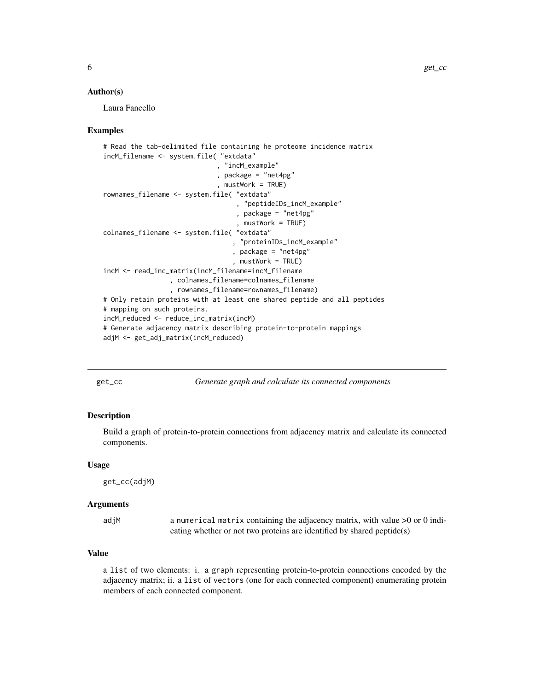#### <span id="page-5-0"></span>Author(s)

Laura Fancello

#### Examples

```
# Read the tab-delimited file containing he proteome incidence matrix
incM_filename <- system.file( "extdata"
                              , "incM_example"
                             , package = "net4pg"
                             , mustWork = TRUE)
rownames_filename <- system.file( "extdata"
                                  , "peptideIDs_incM_example"
                                  , package = "net4pg"
                                   , mustWork = TRUE)
colnames_filename <- system.file( "extdata"
                                 , "proteinIDs_incM_example"
                                 , package = "net4pg"
                                 , mustWork = TRUE)
incM <- read_inc_matrix(incM_filename=incM_filename
                 , colnames_filename=colnames_filename
                 , rownames_filename=rownames_filename)
# Only retain proteins with at least one shared peptide and all peptides
# mapping on such proteins.
incM_reduced <- reduce_inc_matrix(incM)
# Generate adjacency matrix describing protein-to-protein mappings
adjM <- get_adj_matrix(incM_reduced)
```
get\_cc *Generate graph and calculate its connected components*

#### Description

Build a graph of protein-to-protein connections from adjacency matrix and calculate its connected components.

#### Usage

get\_cc(adjM)

#### Arguments

| adjM | a numerical matrix containing the adjacency matrix, with value $>0$ or 0 indi- |
|------|--------------------------------------------------------------------------------|
|      | cating whether or not two proteins are identified by shared peptide(s)         |

# Value

a list of two elements: i. a graph representing protein-to-protein connections encoded by the adjacency matrix; ii. a list of vectors (one for each connected component) enumerating protein members of each connected component.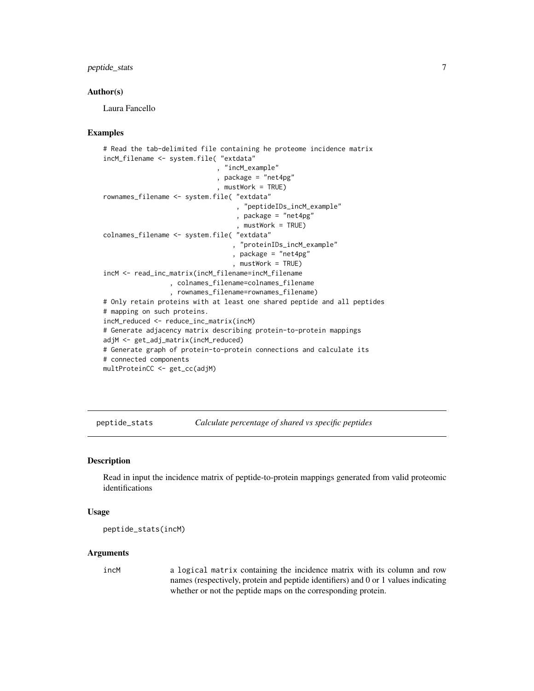# <span id="page-6-0"></span>peptide\_stats 7

#### Author(s)

Laura Fancello

### Examples

```
# Read the tab-delimited file containing he proteome incidence matrix
incM_filename <- system.file( "extdata"
                             , "incM_example"
                             , package = "net4pg"
                             , mustWork = TRUE)
rownames_filename <- system.file( "extdata"
                                   , "peptideIDs_incM_example"
                                   , package = "net4pg"
                                  , mustWork = TRUE)
colnames_filename <- system.file( "extdata"
                                  , "proteinIDs_incM_example"
                                 , package = "net4pg"
                                 , mustWork = TRUE)
incM <- read_inc_matrix(incM_filename=incM_filename
                 , colnames_filename=colnames_filename
                 , rownames_filename=rownames_filename)
# Only retain proteins with at least one shared peptide and all peptides
# mapping on such proteins.
incM_reduced <- reduce_inc_matrix(incM)
# Generate adjacency matrix describing protein-to-protein mappings
adjM <- get_adj_matrix(incM_reduced)
# Generate graph of protein-to-protein connections and calculate its
# connected components
multProteinCC <- get_cc(adjM)
```
peptide\_stats *Calculate percentage of shared vs specific peptides*

#### Description

Read in input the incidence matrix of peptide-to-protein mappings generated from valid proteomic identifications

#### Usage

```
peptide_stats(incM)
```
#### Arguments

incM a logical matrix containing the incidence matrix with its column and row names (respectively, protein and peptide identifiers) and 0 or 1 values indicating whether or not the peptide maps on the corresponding protein.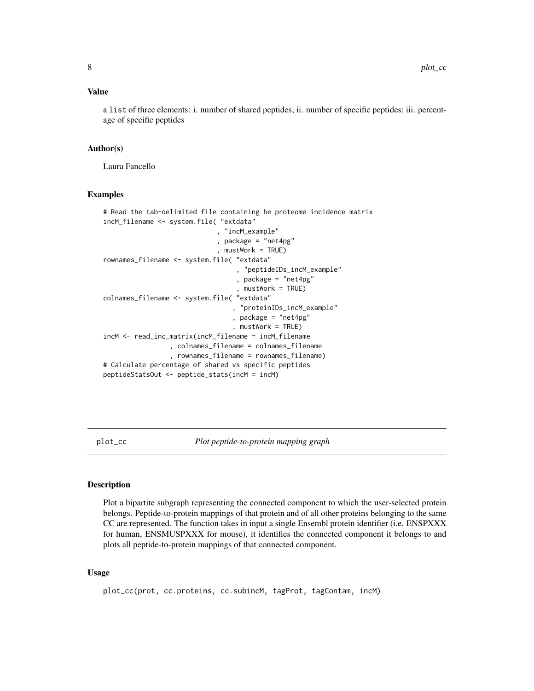#### <span id="page-7-0"></span>Value

a list of three elements: i. number of shared peptides; ii. number of specific peptides; iii. percentage of specific peptides

# Author(s)

Laura Fancello

#### Examples

```
# Read the tab-delimited file containing he proteome incidence matrix
incM_filename <- system.file( "extdata"
                              , "incM_example"
                             , package = "net4pg"
                              , mustWork = TRUE)
rownames_filename <- system.file( "extdata"
                                  , "peptideIDs_incM_example"
                                  , package = "net4pg"
                                   , mustWork = TRUE)
colnames_filename <- system.file( "extdata"
                                  , "proteinIDs_incM_example"
                                 , package = "net4pg"
                                 , mustWork = TRUE)
incM <- read_inc_matrix(incM_filename = incM_filename
                 , colnames_filename = colnames_filename
                 , rownames_filename = rownames_filename)
# Calculate percentage of shared vs specific peptides
peptideStatsOut <- peptide_stats(incM = incM)
```
plot\_cc *Plot peptide-to-protein mapping graph*

#### **Description**

Plot a bipartite subgraph representing the connected component to which the user-selected protein belongs. Peptide-to-protein mappings of that protein and of all other proteins belonging to the same CC are represented. The function takes in input a single Ensembl protein identifier (i.e. ENSPXXX for human, ENSMUSPXXX for mouse), it identifies the connected component it belongs to and plots all peptide-to-protein mappings of that connected component.

#### Usage

plot\_cc(prot, cc.proteins, cc.subincM, tagProt, tagContam, incM)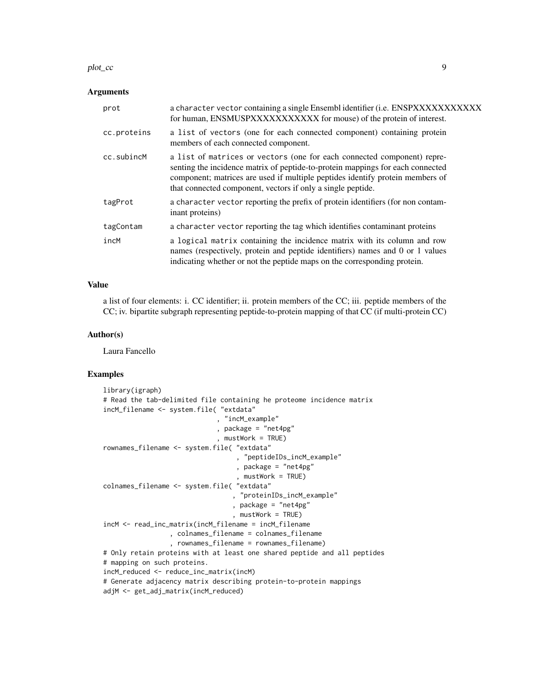#### plot\_cc 9

#### Arguments

| prot        | a character vector containing a single Ensembl identifier (i.e. ENSPXXXXXXXXXXX<br>for human, ENSMUSPXXXXXXXXXXX for mouse) of the protein of interest.                                                                                                                                                   |
|-------------|-----------------------------------------------------------------------------------------------------------------------------------------------------------------------------------------------------------------------------------------------------------------------------------------------------------|
| cc.proteins | a list of vectors (one for each connected component) containing protein<br>members of each connected component.                                                                                                                                                                                           |
| cc.subincM  | a list of matrices or vectors (one for each connected component) repre-<br>senting the incidence matrix of peptide-to-protein mappings for each connected<br>component; matrices are used if multiple peptides identify protein members of<br>that connected component, vectors if only a single peptide. |
| tagProt     | a character vector reporting the prefix of protein identifiers (for non contam-<br>inant proteins)                                                                                                                                                                                                        |
| tagContam   | a character vector reporting the tag which identifies contaminant proteins                                                                                                                                                                                                                                |
| incM        | a logical matrix containing the incidence matrix with its column and row<br>names (respectively, protein and peptide identifiers) names and 0 or 1 values<br>indicating whether or not the peptide maps on the corresponding protein.                                                                     |

# Value

a list of four elements: i. CC identifier; ii. protein members of the CC; iii. peptide members of the CC; iv. bipartite subgraph representing peptide-to-protein mapping of that CC (if multi-protein CC)

#### Author(s)

Laura Fancello

```
library(igraph)
# Read the tab-delimited file containing he proteome incidence matrix
incM_filename <- system.file( "extdata"
                             , "incM_example"
                             , package = "net4pg"
                             , mustWork = TRUE)
rownames_filename <- system.file( "extdata"
                                  , "peptideIDs_incM_example"
                                  , package = "net4pg"
                                   , mustWork = TRUE)
colnames_filename <- system.file( "extdata"
                                 , "proteinIDs_incM_example"
                                 , package = "net4pg"
                                 , mustWork = TRUE)
incM <- read_inc_matrix(incM_filename = incM_filename
                 , colnames_filename = colnames_filename
                 , rownames_filename = rownames_filename)
# Only retain proteins with at least one shared peptide and all peptides
# mapping on such proteins.
incM_reduced <- reduce_inc_matrix(incM)
# Generate adjacency matrix describing protein-to-protein mappings
adjM <- get_adj_matrix(incM_reduced)
```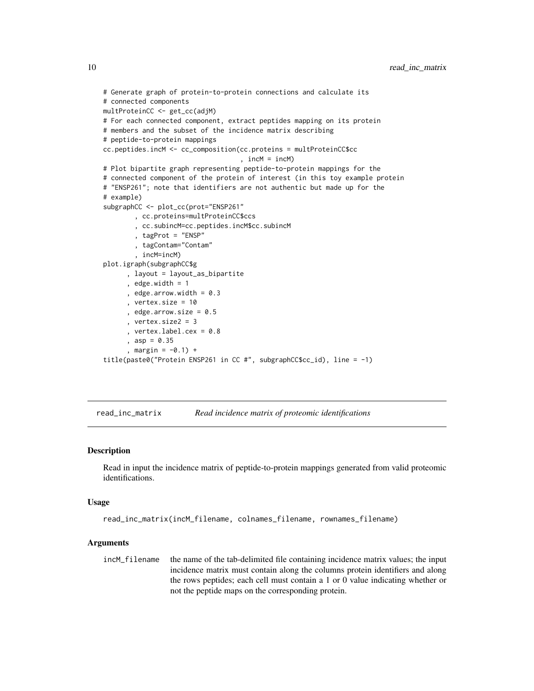```
# Generate graph of protein-to-protein connections and calculate its
# connected components
multProteinCC <- get_cc(adjM)
# For each connected component, extract peptides mapping on its protein
# members and the subset of the incidence matrix describing
# peptide-to-protein mappings
cc.peptides.incM <- cc_composition(cc.proteins = multProteinCC$cc
                                   , incM = incM)
# Plot bipartite graph representing peptide-to-protein mappings for the
# connected component of the protein of interest (in this toy example protein
# "ENSP261"; note that identifiers are not authentic but made up for the
# example)
subgraphCC <- plot_cc(prot="ENSP261"
        , cc.proteins=multProteinCC$ccs
        , cc.subincM=cc.peptides.incM$cc.subincM
        , tagProt = "ENSP"
        , tagContam="Contam"
        , incM=incM)
plot.igraph(subgraphCC$g
      , layout = layout_as_bipartite
      , edge.width = 1, edge.arrow.width = 0.3, vertex.size = 10
      , edge.arrow.size = 0.5, vertex.size2 = 3
      , vertex.label.cex = 0.8
      , asp = 0.35, margin = -0.1) +
title(paste0("Protein ENSP261 in CC #", subgraphCC$cc_id), line = -1)
```
read\_inc\_matrix *Read incidence matrix of proteomic identifications*

#### Description

Read in input the incidence matrix of peptide-to-protein mappings generated from valid proteomic identifications.

#### Usage

```
read_inc_matrix(incM_filename, colnames_filename, rownames_filename)
```
#### Arguments

incM\_filename the name of the tab-delimited file containing incidence matrix values; the input incidence matrix must contain along the columns protein identifiers and along the rows peptides; each cell must contain a 1 or 0 value indicating whether or not the peptide maps on the corresponding protein.

<span id="page-9-0"></span>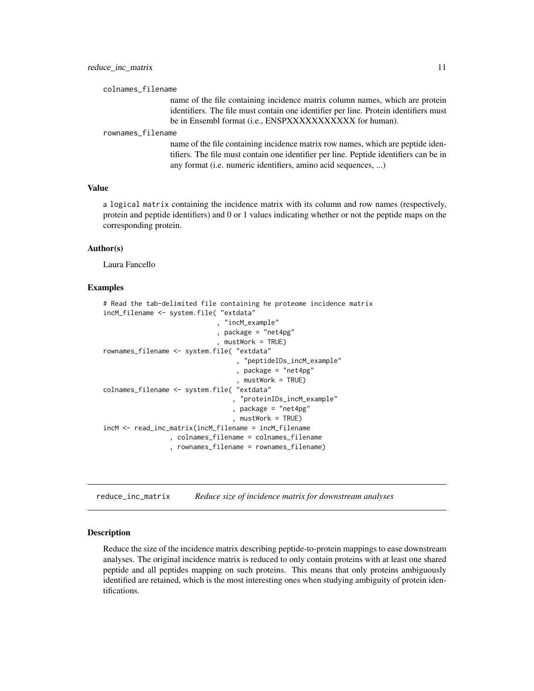<span id="page-10-0"></span>colnames\_filename

name of the file containing incidence matrix column names, which are protein identifiers. The file must contain one identifier per line. Protein identifiers must be in Ensembl format (i.e., ENSPXXXXXXXXXXX for human).

#### rownames\_filename

name of the file containing incidence matrix row names, which are peptide identifiers. The file must contain one identifier per line. Peptide identifiers can be in any format (i.e. numeric identifiers, amino acid sequences, ...)

#### Value

a logical matrix containing the incidence matrix with its column and row names (respectively, protein and peptide identifiers) and 0 or 1 values indicating whether or not the peptide maps on the corresponding protein.

#### Author(s)

Laura Fancello

#### Examples

```
# Read the tab-delimited file containing he proteome incidence matrix
incM_filename <- system.file( "extdata"
                             , "incM_example"
                             , package = "net4pg"
                             , mustWork = TRUE)
rownames_filename <- system.file( "extdata"
                                  , "peptideIDs_incM_example"
                                  , package = "net4pg"
                                   , mustWork = TRUE)
colnames_filename <- system.file( "extdata"
                                  , "proteinIDs_incM_example"
                                 , package = "net4pg"
                                 , mustWork = TRUE)
incM <- read_inc_matrix(incM_filename = incM_filename
                 , colnames_filename = colnames_filename
                 , rownames_filename = rownames_filename)
```
<span id="page-10-1"></span>reduce\_inc\_matrix *Reduce size of incidence matrix for downstream analyses*

#### Description

Reduce the size of the incidence matrix describing peptide-to-protein mappings to ease downstream analyses. The original incidence matrix is reduced to only contain proteins with at least one shared peptide and all peptides mapping on such proteins. This means that only proteins ambiguously identified are retained, which is the most interesting ones when studying ambiguity of protein identifications.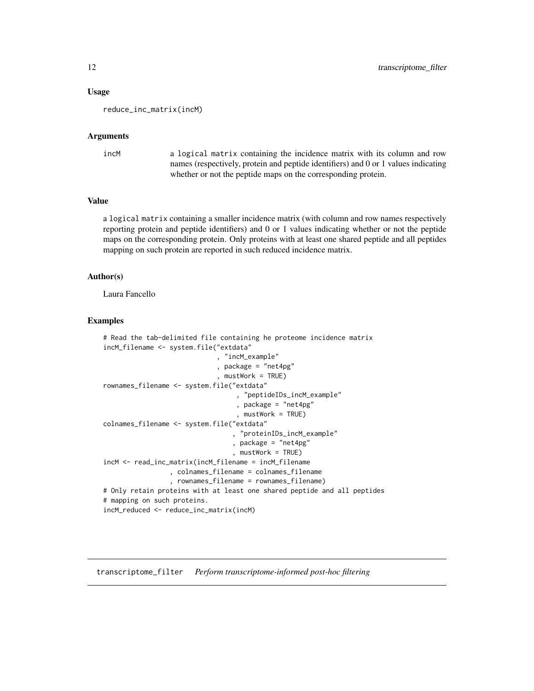#### <span id="page-11-0"></span>Usage

reduce\_inc\_matrix(incM)

#### Arguments

```
incM a logical matrix containing the incidence matrix with its column and row
                 names (respectively, protein and peptide identifiers) and 0 or 1 values indicating
                 whether or not the peptide maps on the corresponding protein.
```
# Value

a logical matrix containing a smaller incidence matrix (with column and row names respectively reporting protein and peptide identifiers) and 0 or 1 values indicating whether or not the peptide maps on the corresponding protein. Only proteins with at least one shared peptide and all peptides mapping on such protein are reported in such reduced incidence matrix.

#### Author(s)

Laura Fancello

#### Examples

```
# Read the tab-delimited file containing he proteome incidence matrix
incM_filename <- system.file("extdata"
                             , "incM_example"
                             , package = "net4pg"
                              , mustWork = TRUE)
rownames_filename <- system.file("extdata"
                                   , "peptideIDs_incM_example"
                                  , package = "net4pg"
                                   , mustWork = TRUE)
colnames_filename <- system.file("extdata"
                                  , "proteinIDs_incM_example"
                                 , package = "net4pg"
                                 , mustWork = TRUE)
incM <- read_inc_matrix(incM_filename = incM_filename
                 , colnames_filename = colnames_filename
                 , rownames_filename = rownames_filename)
# Only retain proteins with at least one shared peptide and all peptides
# mapping on such proteins.
incM_reduced <- reduce_inc_matrix(incM)
```
transcriptome\_filter *Perform transcriptome-informed post-hoc filtering*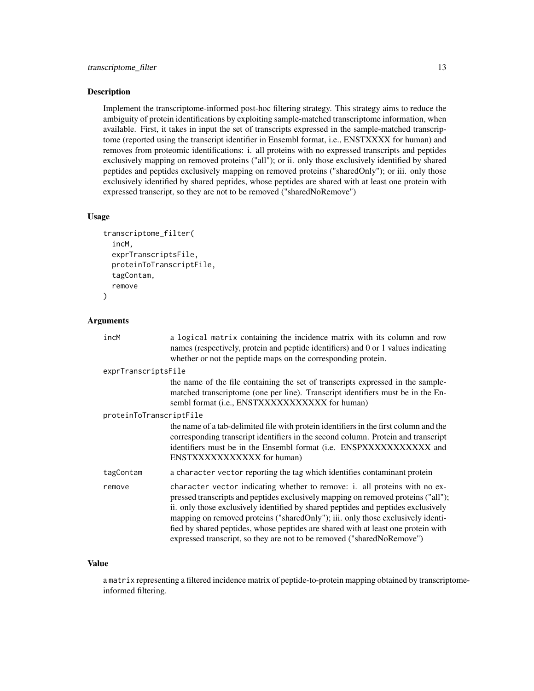#### Description

Implement the transcriptome-informed post-hoc filtering strategy. This strategy aims to reduce the ambiguity of protein identifications by exploiting sample-matched transcriptome information, when available. First, it takes in input the set of transcripts expressed in the sample-matched transcriptome (reported using the transcript identifier in Ensembl format, i.e., ENSTXXXX for human) and removes from proteomic identifications: i. all proteins with no expressed transcripts and peptides exclusively mapping on removed proteins ("all"); or ii. only those exclusively identified by shared peptides and peptides exclusively mapping on removed proteins ("sharedOnly"); or iii. only those exclusively identified by shared peptides, whose peptides are shared with at least one protein with expressed transcript, so they are not to be removed ("sharedNoRemove")

#### Usage

```
transcriptome_filter(
  incM,
  exprTranscriptsFile,
  proteinToTranscriptFile,
  tagContam,
  remove
)
```
#### Arguments

| incM                    | a logical matrix containing the incidence matrix with its column and row<br>names (respectively, protein and peptide identifiers) and 0 or 1 values indicating<br>whether or not the peptide maps on the corresponding protein.                                                                                                                                                                                                                                                                        |
|-------------------------|--------------------------------------------------------------------------------------------------------------------------------------------------------------------------------------------------------------------------------------------------------------------------------------------------------------------------------------------------------------------------------------------------------------------------------------------------------------------------------------------------------|
| exprTranscriptsFile     |                                                                                                                                                                                                                                                                                                                                                                                                                                                                                                        |
|                         | the name of the file containing the set of transcripts expressed in the sample-<br>matched transcriptome (one per line). Transcript identifiers must be in the En-<br>sembl format (i.e., ENSTXXXXXXXXXXX for human)                                                                                                                                                                                                                                                                                   |
| proteinToTranscriptFile |                                                                                                                                                                                                                                                                                                                                                                                                                                                                                                        |
|                         | the name of a tab-delimited file with protein identifiers in the first column and the<br>corresponding transcript identifiers in the second column. Protein and transcript<br>identifiers must be in the Ensembl format (i.e. ENSPXXXXXXXXXXX and<br>ENSTXXXXXXXXXXX for human)                                                                                                                                                                                                                        |
| tagContam               | a character vector reporting the tag which identifies contaminant protein                                                                                                                                                                                                                                                                                                                                                                                                                              |
| remove                  | character vector indicating whether to remove: i. all proteins with no ex-<br>pressed transcripts and peptides exclusively mapping on removed proteins ("all");<br>ii. only those exclusively identified by shared peptides and peptides exclusively<br>mapping on removed proteins ("sharedOnly"); iii. only those exclusively identi-<br>fied by shared peptides, whose peptides are shared with at least one protein with<br>expressed transcript, so they are not to be removed ("sharedNoRemove") |

#### Value

a matrix representing a filtered incidence matrix of peptide-to-protein mapping obtained by transcriptomeinformed filtering.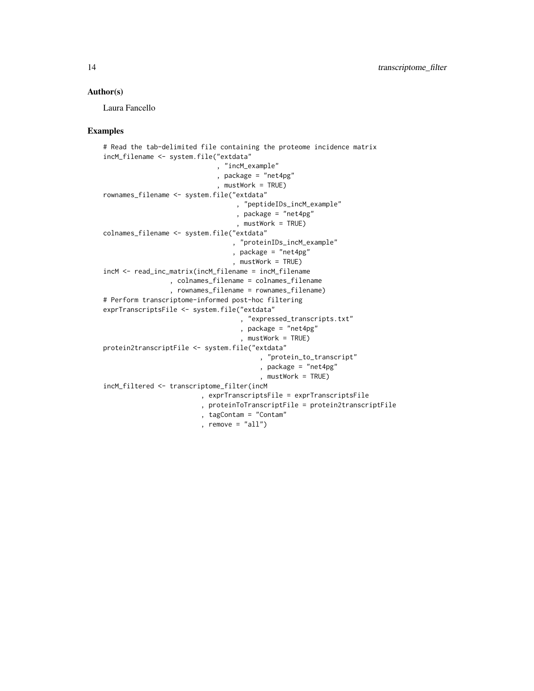#### Author(s)

Laura Fancello

```
# Read the tab-delimited file containing the proteome incidence matrix
incM_filename <- system.file("extdata"
                             , "incM_example"
                             , package = "net4pg"
                             , mustWork = TRUE)
rownames_filename <- system.file("extdata"
                                  , "peptideIDs_incM_example"
                                  , package = "net4pg"
                                  , mustWork = TRUE)
colnames_filename <- system.file("extdata"
                                 , "proteinIDs_incM_example"
                                 , package = "net4pg"
                                 , mustWork = TRUE)
incM <- read_inc_matrix(incM_filename = incM_filename
                 , colnames_filename = colnames_filename
                 , rownames_filename = rownames_filename)
# Perform transcriptome-informed post-hoc filtering
exprTranscriptsFile <- system.file("extdata"
                                   , "expressed_transcripts.txt"
                                   , package = "net4pg"
                                   , mustWork = TRUE)
protein2transcriptFile <- system.file("extdata"
                                        , "protein_to_transcript"
                                        , package = "net4pg"
                                        , mustWork = TRUE)
incM_filtered <- transcriptome_filter(incM
                         , exprTranscriptsFile = exprTranscriptsFile
                         , proteinToTranscriptFile = protein2transcriptFile
                         , tagContam = "Contam"
                         , remove = "all")
```